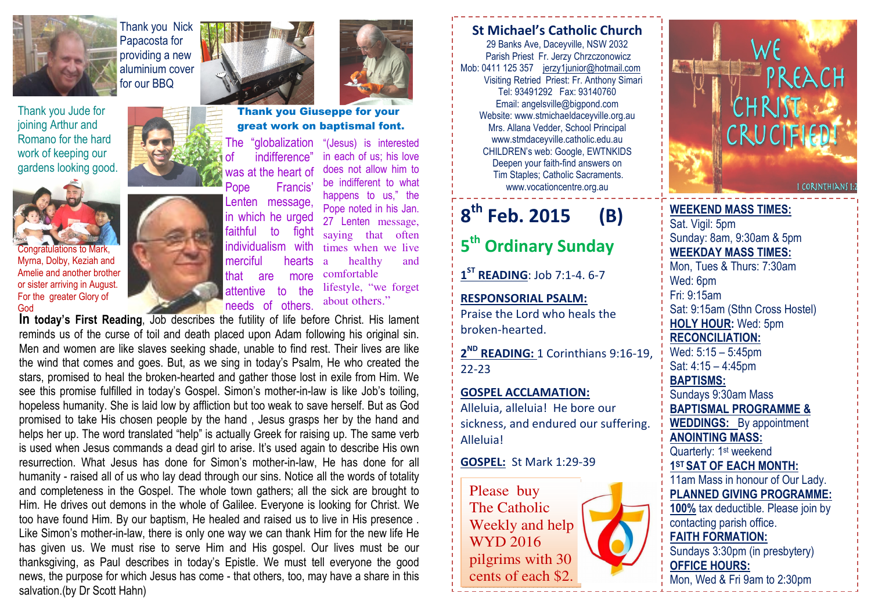

Thank you Jude forjoining Arthur and Romano for the hard work of keeping our gardens looking good.



Congratulations to Mark, Myrna, Dolby, Keziah and Amelie and another brother or sister arriving in August. For the greater Glory of God



Thank you Nick Papacosta for providing a new





great work on baptismal font.

The "globalization of indifference" was at the heart of Pope Francis' Lenten message. in which he urged faithful to fight individualism with merciful hearts "(Jesus) is interested

the

 in each of us; his love does not allow him to be indifferent to what happens to us," the Pope noted in his Jan. 27 Lenten message, saying that often times when we live a healthy and comfortable lifestyle, "we forget about others."

In today's First Reading, Job describes the futility of life before Christ. His lament reminds us of the curse of toil and death placed upon Adam following his original sin. Men and women are like slaves seeking shade, unable to find rest. Their lives are like the wind that comes and goes. But, as we sing in today's Psalm, He who created the stars, promised to heal the broken-hearted and gather those lost in exile from Him. We see this promise fulfilled in today's Gospel. Simon's mother-in-law is like Job's toiling, hopeless humanity. She is laid low by affliction but too weak to save herself. But as God promised to take His chosen people by the hand , Jesus grasps her by the hand and helps her up. The word translated "help" is actually Greek for raising up. The same verb is used when Jesus commands a dead girl to arise. It's used again to describe His own resurrection. What Jesus has done for Simon's mother-in-law, He has done for all humanity - raised all of us who lay dead through our sins. Notice all the words of totality and completeness in the Gospel. The whole town gathers; all the sick are brought to Him. He drives out demons in the whole of Galilee. Everyone is looking for Christ. We too have found Him. By our baptism, He healed and raised us to live in His presence . Like Simon's mother-in-law, there is only one way we can thank Him for the new life He has given us. We must rise to serve Him and His gospel. Our lives must be our thanksgiving, as Paul describes in today's Epistle. We must tell everyone the good news, the purpose for which Jesus has come - that others, too, may have a share in this salvation.(by Dr Scott Hahn)

#### St Michael's Catholic Church 29 Banks Ave, Daceyville, NSW 2032 Parish Priest Fr. Jerzy Chrzczonowicz Mob: 0411 125 357 jerzy1junior@hotmail.com Visiting Retried Priest: Fr. Anthony Simari Tel: 93491292 Fax: 93140760 Email: angelsville@bigpond.com Website: www.stmichaeldaceyville.org.au Mrs. Allana Vedder, School Principal www.stmdaceyville.catholic.edu.au CHILDREN's web: Google, EWTNKIDS Deepen your faith-find answers on Tim Staples; Catholic Sacraments.

www.vocationcentre.org.au

## 8<sup>th</sup> Feb. 2015 (B)

# 5<sup>th</sup> Ordinary Sunday

 $1^{ST}$  READING: Job 7:1-4. 6-7

RESPONSORIAL PSALM: Praise the Lord who heals the broken-hearted.

2<sup>ND</sup> READING: 1 Corinthians 9:16-19, 22-23

GOSPEL ACCLAMATION:Alleluia, alleluia! He bore our sickness, and endured our suffering. Alleluia!

#### GOSPEL: St Mark 1:29-39

Please buy The Catholic Weekly and help WYD 2016 pilgrims with 30 cents of each \$2.



WEEKEND MASS TIMES:Sat. Vigil: 5pm Sunday: 8am, 9:30am & 5pm WEEKDAY MASS TIMES: Mon, Tues & Thurs: 7:30am Wed: 6pm Fri: 9:15am Sat: 9:15am (Sthn Cross Hostel) HOLY HOUR: Wed: 5pm RECONCILIATION: Wed: 5:15 – 5:45pm Sat: 4:15 – 4:45pm BAPTISMS: Sundays 9:30am Mass BAPTISMAL PROGRAMME & **WEDDINGS:** By appointment ANOINTING MASS: Quarterly: 1<sup>st</sup> weekend 1ST SAT OF EACH MONTH: 11am Mass in honour of Our Lady. PLANNED GIVING PROGRAMME: 100% tax deductible. Please join by contacting parish office. FAITH FORMATION: Sundays 3:30pm (in presbytery) OFFICE HOURS: Mon, Wed & Fri 9am to 2:30pm